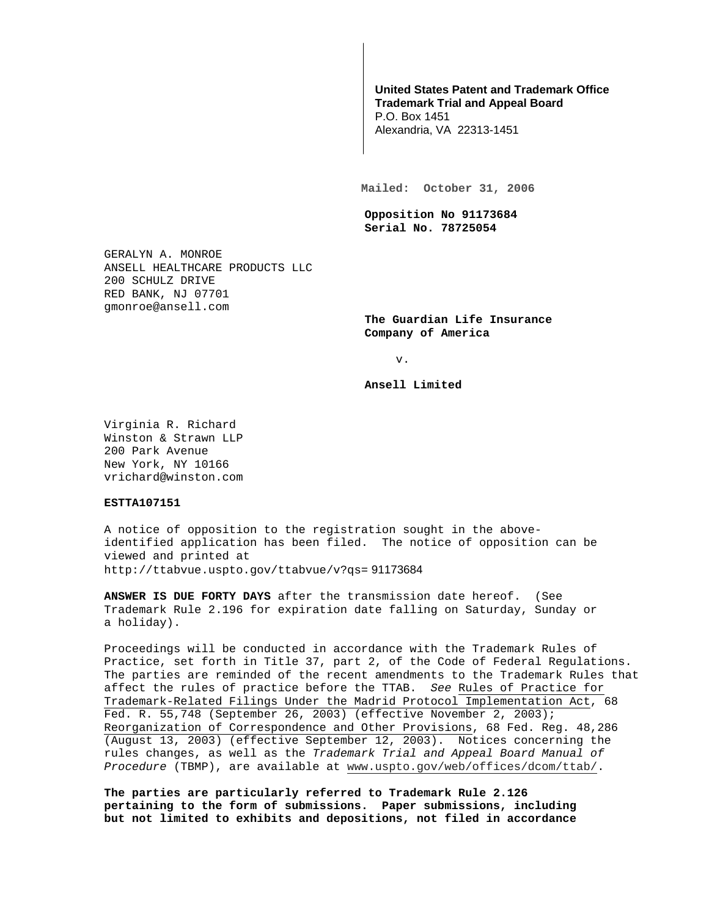## **United States Patent and Trademark Office Trademark Trial and Appeal Board**

P.O. Box 1451 Alexandria, VA 22313-1451

**Mailed: October 31, 2006** 

**Opposition No 91173684 Serial No. 78725054** 

GERALYN A. MONROE ANSELL HEALTHCARE PRODUCTS LLC 200 SCHULZ DRIVE RED BANK, NJ 07701 gmonroe@ansell.com

> **The Guardian Life Insurance Company of America**

> > v.

**Ansell Limited** 

Virginia R. Richard Winston & Strawn LLP 200 Park Avenue New York, NY 10166 vrichard@winston.com

**ESTTA107151** 

A notice of opposition to the registration sought in the aboveidentified application has been filed. The notice of opposition can be viewed and printed at http://ttabvue.uspto.gov/ttabvue/v?qs= 91173684

**ANSWER IS DUE FORTY DAYS** after the transmission date hereof. (See Trademark Rule 2.196 for expiration date falling on Saturday, Sunday or a holiday).

Proceedings will be conducted in accordance with the Trademark Rules of Practice, set forth in Title 37, part 2, of the Code of Federal Regulations. The parties are reminded of the recent amendments to the Trademark Rules that affect the rules of practice before the TTAB. See Rules of Practice for Trademark-Related Filings Under the Madrid Protocol Implementation Act, 68 Fed. R. 55,748 (September 26, 2003) (effective November 2, 2003); Reorganization of Correspondence and Other Provisions, 68 Fed. Reg. 48,286 (August 13, 2003) (effective September 12, 2003). Notices concerning the rules changes, as well as the Trademark Trial and Appeal Board Manual of Procedure (TBMP), are available at www.uspto.gov/web/offices/dcom/ttab/.

**The parties are particularly referred to Trademark Rule 2.126 pertaining to the form of submissions. Paper submissions, including but not limited to exhibits and depositions, not filed in accordance**